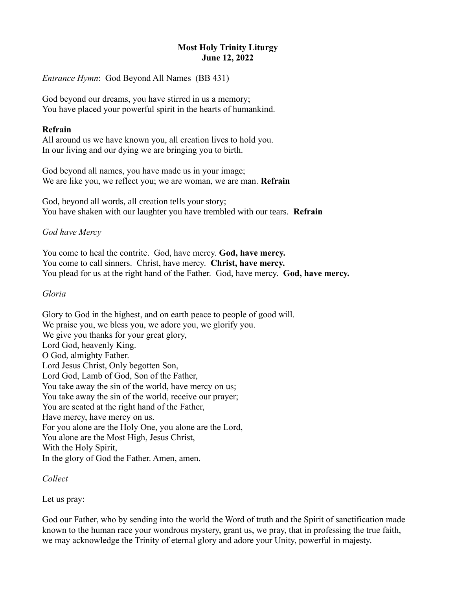# **Most Holy Trinity Liturgy June 12, 2022**

*Entrance Hymn*: God Beyond All Names (BB 431)

God beyond our dreams, you have stirred in us a memory; You have placed your powerful spirit in the hearts of humankind.

#### **Refrain**

All around us we have known you, all creation lives to hold you. In our living and our dying we are bringing you to birth.

God beyond all names, you have made us in your image; We are like you, we reflect you; we are woman, we are man. **Refrain**

God, beyond all words, all creation tells your story; You have shaken with our laughter you have trembled with our tears. **Refrain**

### *God have Mercy*

You come to heal the contrite. God, have mercy. **God, have mercy.** You come to call sinners. Christ, have mercy. **Christ, have mercy.** You plead for us at the right hand of the Father. God, have mercy. **God, have mercy.**

#### *Gloria*

Glory to God in the highest, and on earth peace to people of good will. We praise you, we bless you, we adore you, we glorify you. We give you thanks for your great glory, Lord God, heavenly King. O God, almighty Father. Lord Jesus Christ, Only begotten Son, Lord God, Lamb of God, Son of the Father, You take away the sin of the world, have mercy on us; You take away the sin of the world, receive our prayer; You are seated at the right hand of the Father, Have mercy, have mercy on us. For you alone are the Holy One, you alone are the Lord, You alone are the Most High, Jesus Christ, With the Holy Spirit, In the glory of God the Father. Amen, amen.

#### *Collect*

Let us pray:

God our Father, who by sending into the world the Word of truth and the Spirit of sanctification made known to the human race your wondrous mystery, grant us, we pray, that in professing the true faith, we may acknowledge the Trinity of eternal glory and adore your Unity, powerful in majesty.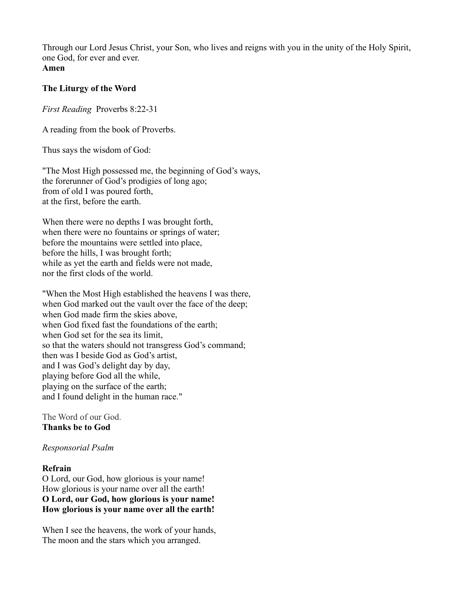Through our Lord Jesus Christ, your Son, who lives and reigns with you in the unity of the Holy Spirit, one God, for ever and ever. **Amen**

### **The Liturgy of the Word**

*First Reading* Proverbs 8:22-31

A reading from the book of Proverbs.

Thus says the wisdom of God:

"The Most High possessed me, the beginning of God's ways, the forerunner of God's prodigies of long ago; from of old I was poured forth, at the first, before the earth.

When there were no depths I was brought forth, when there were no fountains or springs of water; before the mountains were settled into place, before the hills, I was brought forth; while as yet the earth and fields were not made, nor the first clods of the world.

"When the Most High established the heavens I was there, when God marked out the vault over the face of the deep; when God made firm the skies above, when God fixed fast the foundations of the earth; when God set for the sea its limit, so that the waters should not transgress God's command; then was I beside God as God's artist, and I was God's delight day by day, playing before God all the while, playing on the surface of the earth; and I found delight in the human race."

The Word of our God. **Thanks be to God**

# *Responsorial Psalm*

#### **Refrain**

O Lord, our God, how glorious is your name! How glorious is your name over all the earth! **O Lord, our God, how glorious is your name! How glorious is your name over all the earth!**

When I see the heavens, the work of your hands, The moon and the stars which you arranged.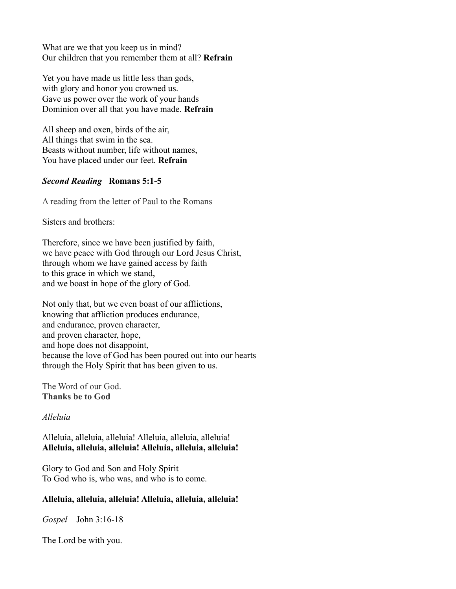What are we that you keep us in mind? Our children that you remember them at all? **Refrain**

Yet you have made us little less than gods, with glory and honor you crowned us. Gave us power over the work of your hands Dominion over all that you have made. **Refrain**

All sheep and oxen, birds of the air, All things that swim in the sea. Beasts without number, life without names, You have placed under our feet. **Refrain**

### *Second Reading* **Romans 5:1-5**

A reading from the letter of Paul to the Romans

Sisters and brothers:

Therefore, since we have been justified by faith, we have peace with God through our Lord Jesus Christ, through whom we have gained access by faith to this grace in which we stand, and we boast in hope of the glory of God.

Not only that, but we even boast of our afflictions, knowing that affliction produces endurance, and endurance, proven character, and proven character, hope, and hope does not disappoint, because the love of God has been poured out into our hearts through the Holy Spirit that has been given to us.

The Word of our God. **Thanks be to God**

# *Alleluia*

Alleluia, alleluia, alleluia! Alleluia, alleluia, alleluia! **Alleluia, alleluia, alleluia! Alleluia, alleluia, alleluia!**

Glory to God and Son and Holy Spirit To God who is, who was, and who is to come.

# **Alleluia, alleluia, alleluia! Alleluia, alleluia, alleluia!**

*Gospel* John 3:16-18

The Lord be with you.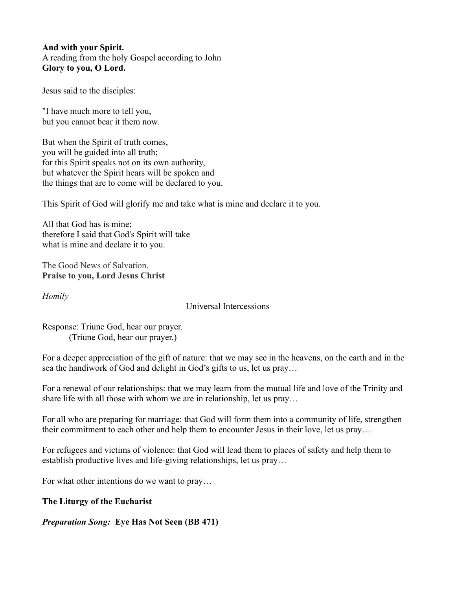**And with your Spirit.** A reading from the holy Gospel according to John **Glory to you, O Lord.**

Jesus said to the disciples:

"I have much more to tell you, but you cannot bear it them now.

But when the Spirit of truth comes, you will be guided into all truth; for this Spirit speaks not on its own authority, but whatever the Spirit hears will be spoken and the things that are to come will be declared to you.

This Spirit of God will glorify me and take what is mine and declare it to you.

All that God has is mine; therefore I said that God's Spirit will take what is mine and declare it to you.

The Good News of Salvation. **Praise to you, Lord Jesus Christ**

*Homily*

Universal Intercessions

Response: Triune God, hear our prayer. (Triune God, hear our prayer.)

For a deeper appreciation of the gift of nature: that we may see in the heavens, on the earth and in the sea the handiwork of God and delight in God's gifts to us, let us pray…

For a renewal of our relationships: that we may learn from the mutual life and love of the Trinity and share life with all those with whom we are in relationship, let us pray…

For all who are preparing for marriage: that God will form them into a community of life, strengthen their commitment to each other and help them to encounter Jesus in their love, let us pray…

For refugees and victims of violence: that God will lead them to places of safety and help them to establish productive lives and life-giving relationships, let us pray…

For what other intentions do we want to pray…

**The Liturgy of the Eucharist**

*Preparation Song:* **Eye Has Not Seen (BB 471)**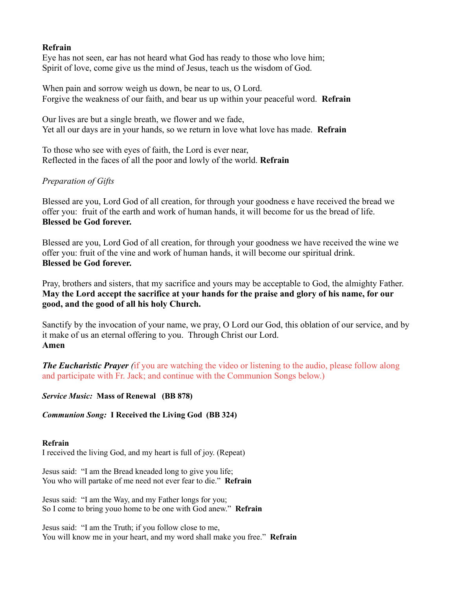### **Refrain**

Eye has not seen, ear has not heard what God has ready to those who love him; Spirit of love, come give us the mind of Jesus, teach us the wisdom of God.

When pain and sorrow weigh us down, be near to us, O Lord. Forgive the weakness of our faith, and bear us up within your peaceful word. **Refrain**

Our lives are but a single breath, we flower and we fade, Yet all our days are in your hands, so we return in love what love has made. **Refrain**

To those who see with eyes of faith, the Lord is ever near, Reflected in the faces of all the poor and lowly of the world. **Refrain**

# *Preparation of Gifts*

Blessed are you, Lord God of all creation, for through your goodness e have received the bread we offer you: fruit of the earth and work of human hands, it will become for us the bread of life. **Blessed be God forever.**

Blessed are you, Lord God of all creation, for through your goodness we have received the wine we offer you: fruit of the vine and work of human hands, it will become our spiritual drink. **Blessed be God forever.**

Pray, brothers and sisters, that my sacrifice and yours may be acceptable to God, the almighty Father. **May the Lord accept the sacrifice at your hands for the praise and glory of his name, for our good, and the good of all his holy Church.**

Sanctify by the invocation of your name, we pray, O Lord our God, this oblation of our service, and by it make of us an eternal offering to you. Through Christ our Lord. **Amen**

*The Eucharistic Prayer* (if you are watching the video or listening to the audio, please follow along and participate with Fr. Jack; and continue with the Communion Songs below.)

*Service Music:* **Mass of Renewal (BB 878)**

*Communion Song:* **I Received the Living God (BB 324)**

#### **Refrain**

I received the living God, and my heart is full of joy. (Repeat)

Jesus said: "I am the Bread kneaded long to give you life; You who will partake of me need not ever fear to die." **Refrain**

Jesus said: "I am the Way, and my Father longs for you; So I come to bring youo home to be one with God anew." **Refrain**

Jesus said: "I am the Truth; if you follow close to me, You will know me in your heart, and my word shall make you free." **Refrain**